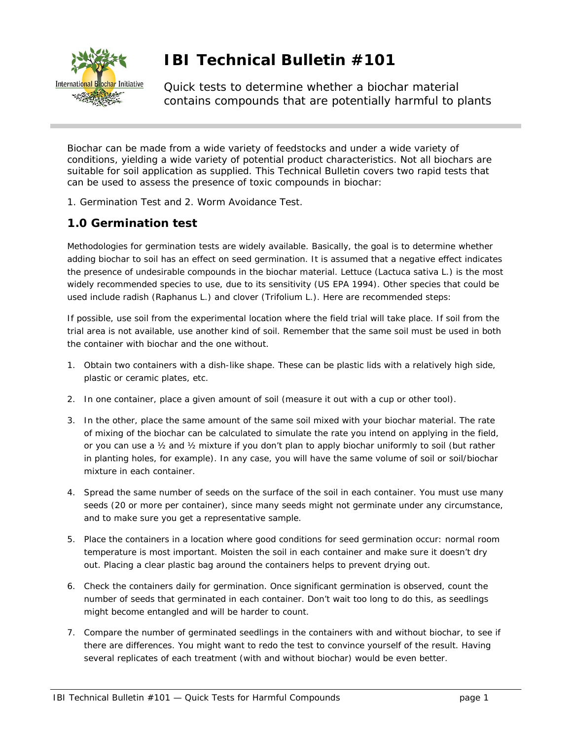

## **IBI Technical Bulletin #101**

Quick tests to determine whether a biochar material contains compounds that are potentially harmful to plants

Biochar can be made from a wide variety of feedstocks and under a wide variety of conditions, yielding a wide variety of potential product characteristics. Not all biochars are suitable for soil application as supplied. This Technical Bulletin covers two rapid tests that can be used to assess the presence of toxic compounds in biochar:

1. Germination Test and 2. Worm Avoidance Test.

## **1.0 Germination test**

Methodologies for germination tests are widely available. Basically, the goal is to determine whether adding biochar to soil has an effect on seed germination. It is assumed that a negative effect indicates the presence of undesirable compounds in the biochar material. Lettuce (*Lactuca* sativa L.) is the most widely recommended species to use, due to its sensitivity (US EPA 1994). Other species that could be used include radish (*Raphanus* L.) and clover (*Trifolium* L.). Here are recommended steps:

If possible, use soil from the experimental location where the field trial will take place. If soil from the trial area is not available, use another kind of soil. Remember that the same soil must be used in both the container with biochar and the one without.

- 1. Obtain two containers with a dish-like shape. These can be plastic lids with a relatively high side, plastic or ceramic plates, etc.
- 2. In one container, place a given amount of soil (measure it out with a cup or other tool).
- 3. In the other, place the same amount of the same soil mixed with your biochar material. The rate of mixing of the biochar can be calculated to simulate the rate you intend on applying in the field, or you can use a ½ and ½ mixture if you don't plan to apply biochar uniformly to soil (but rather in planting holes, for example). In any case, you will have the same volume of soil or soil/biochar mixture in each container.
- 4. Spread the same number of seeds on the surface of the soil in each container. You must use many seeds (20 or more per container), since many seeds might not germinate under any circumstance, and to make sure you get a representative sample.
- 5. Place the containers in a location where good conditions for seed germination occur: normal room temperature is most important. Moisten the soil in each container and make sure it doesn't dry out. Placing a clear plastic bag around the containers helps to prevent drying out.
- *6.* Check the containers daily for germination. Once significant germination is observed, count the number of seeds that germinated in each container. Don't wait too long to do this, as seedlings might become entangled and will be harder to count.
- 7. Compare the number of germinated seedlings in the containers with and without biochar, to see if there are differences. You might want to redo the test to convince yourself of the result. Having several replicates of each treatment (with and without biochar) would be even better.